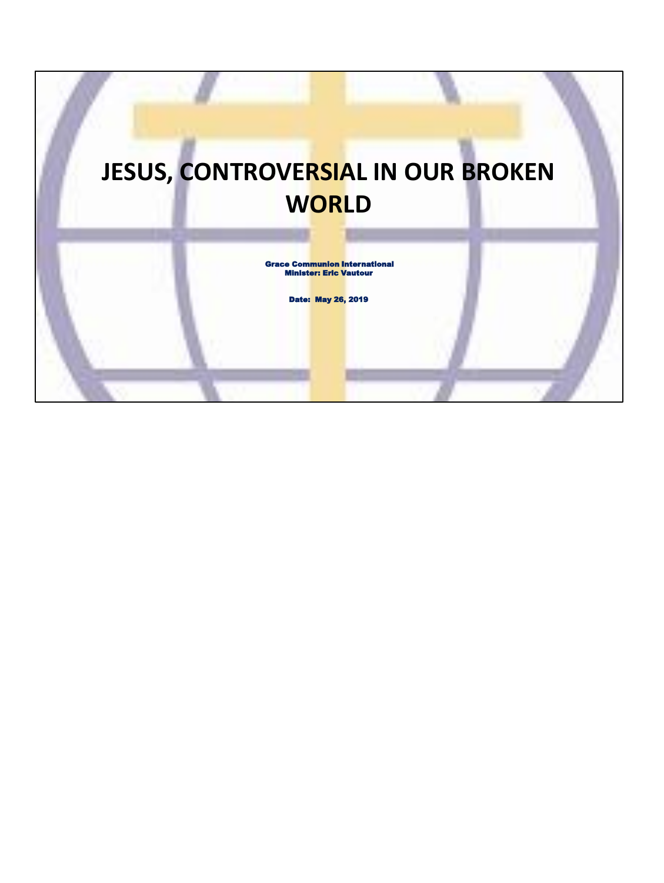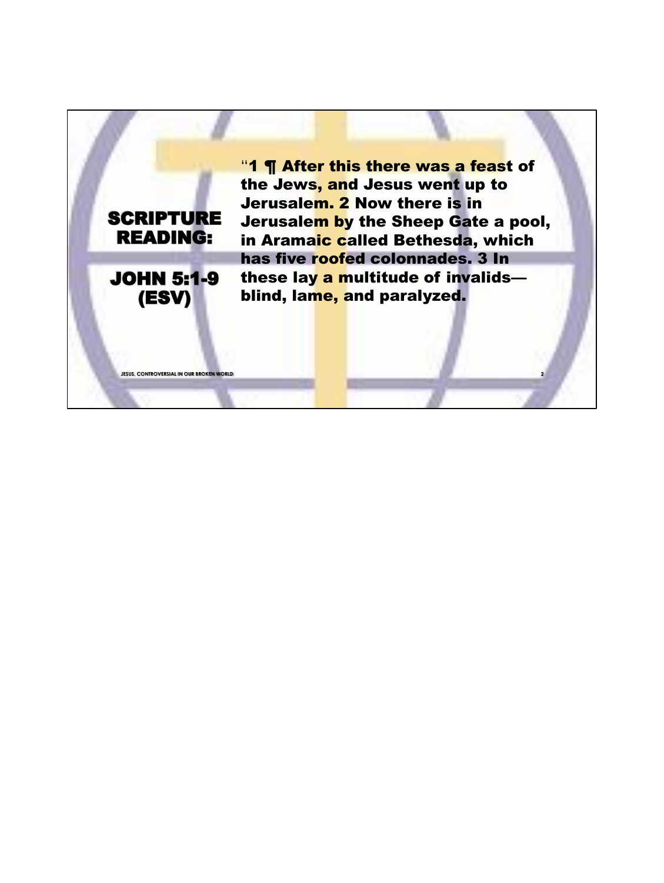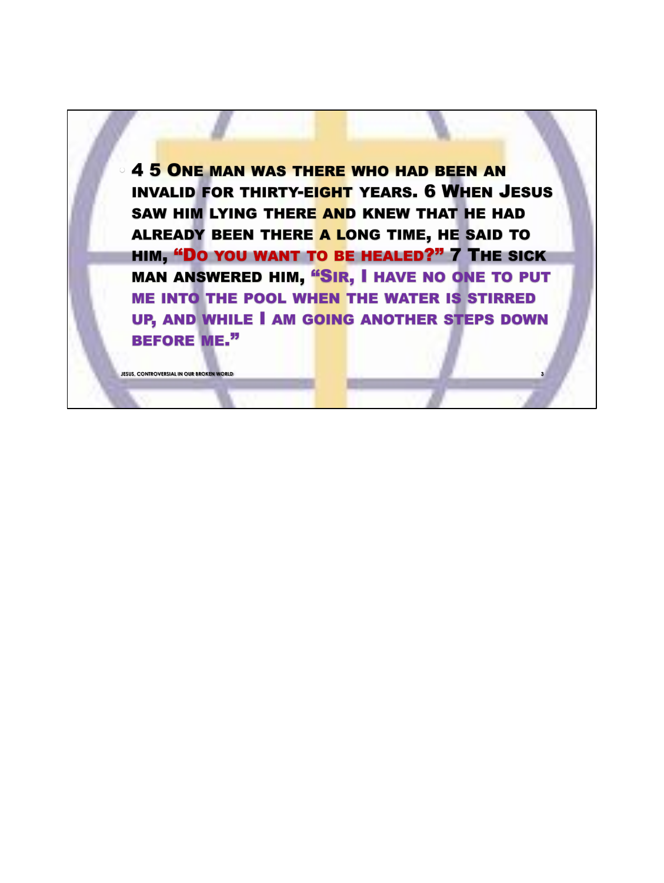**4 5 ONE MAN WAS THERE WHO HAD BEEN AN** INVALID FOR THIRTY-EIGHT YEARS. 6 WHEN JESUS SAW HIM LYING THERE AND KNEW THAT HE HAD ALREADY BEEN THERE A LONG TIME, HE SAID TO HIM, "DO YOU WANT TO BE HEALED?" 7 THE SICK MAN ANSWERED HIM, "SIR, I HAVE NO ONE TO PUT ME INTO THE POOL WHEN THE WATER IS STIRRED UP, AND WHILE I AM GOING ANOTHER STEPS DOWN BEFORE ME."

**JESUS, CONTROVERSIAL IN OUR BROKEN WORLD 3**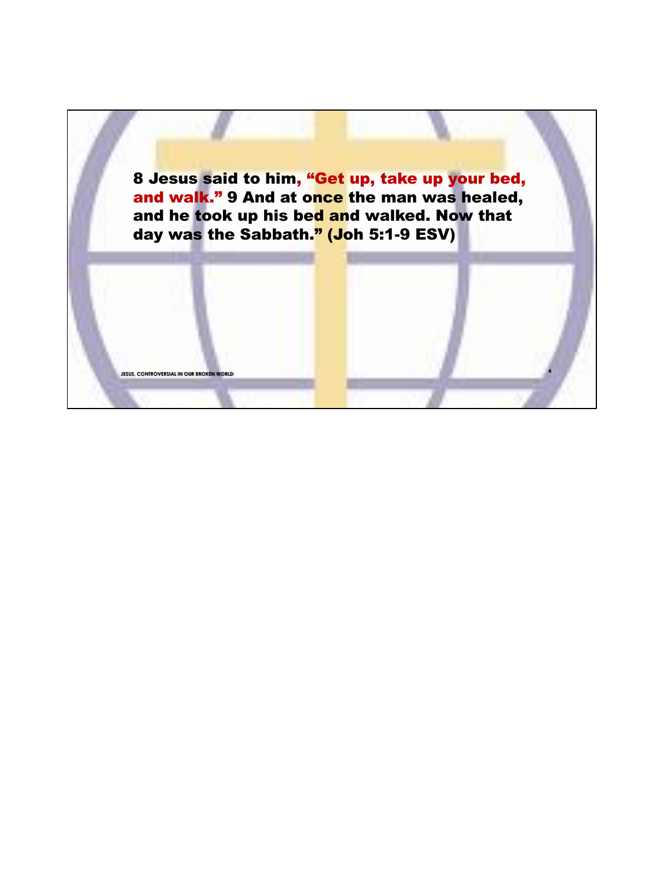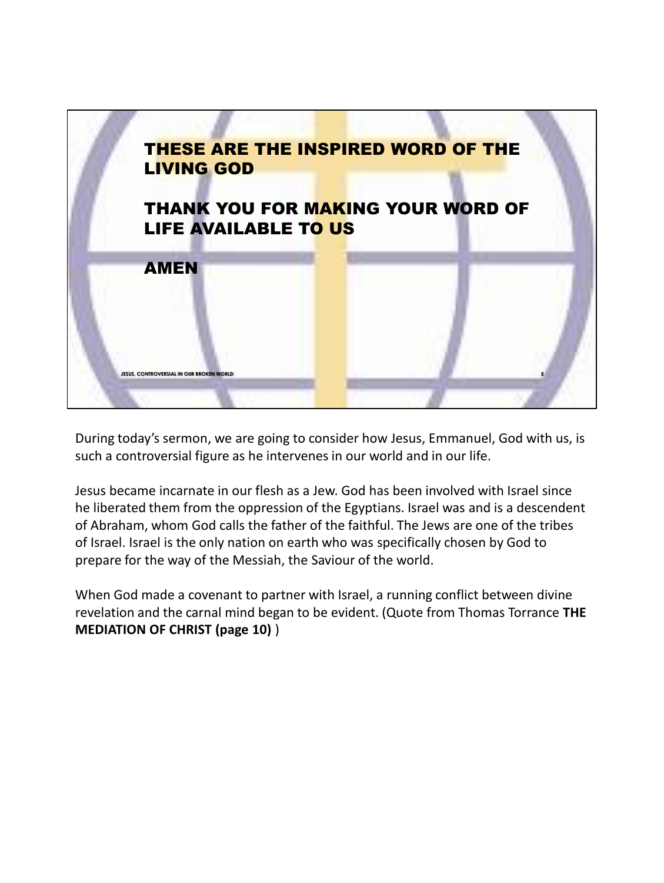

During today's sermon, we are going to consider how Jesus, Emmanuel, God with us, is such a controversial figure as he intervenes in our world and in our life.

Jesus became incarnate in our flesh as a Jew. God has been involved with Israel since he liberated them from the oppression of the Egyptians. Israel was and is a descendent of Abraham, whom God calls the father of the faithful. The Jews are one of the tribes of Israel. Israel is the only nation on earth who was specifically chosen by God to prepare for the way of the Messiah, the Saviour of the world.

When God made a covenant to partner with Israel, a running conflict between divine revelation and the carnal mind began to be evident. (Quote from Thomas Torrance **THE MEDIATION OF CHRIST (page 10)** )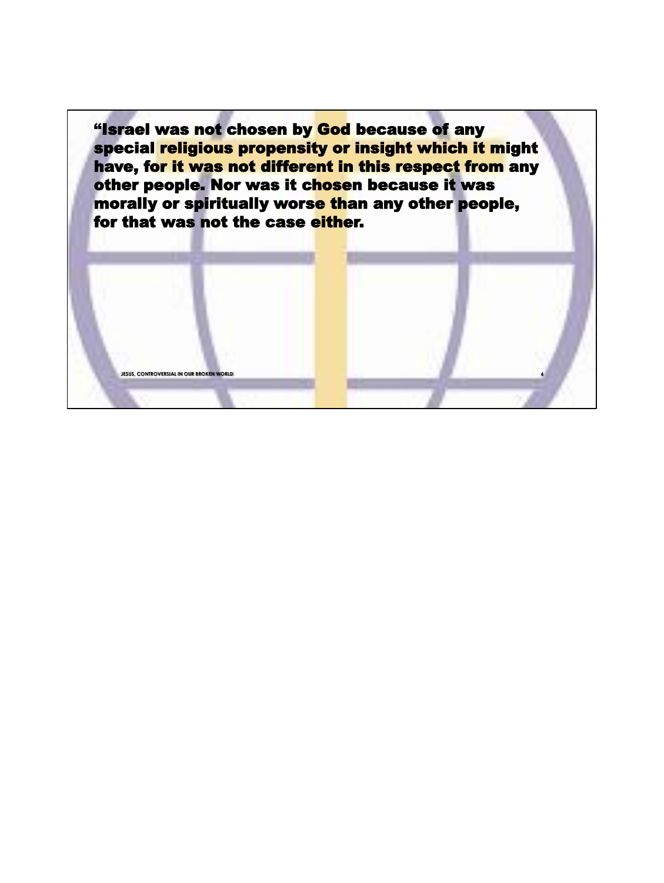"Israel was not chosen by God because of any special religious propensity or insight which it might have, for it was not different in this respect from any other people. Nor was it chosen because it was morally or spiritually worse than any other people, for that was not the case either.

**JESUS, CONTROVERSIAL IN OUR <mark>BROKEN</mark> W** 

**6**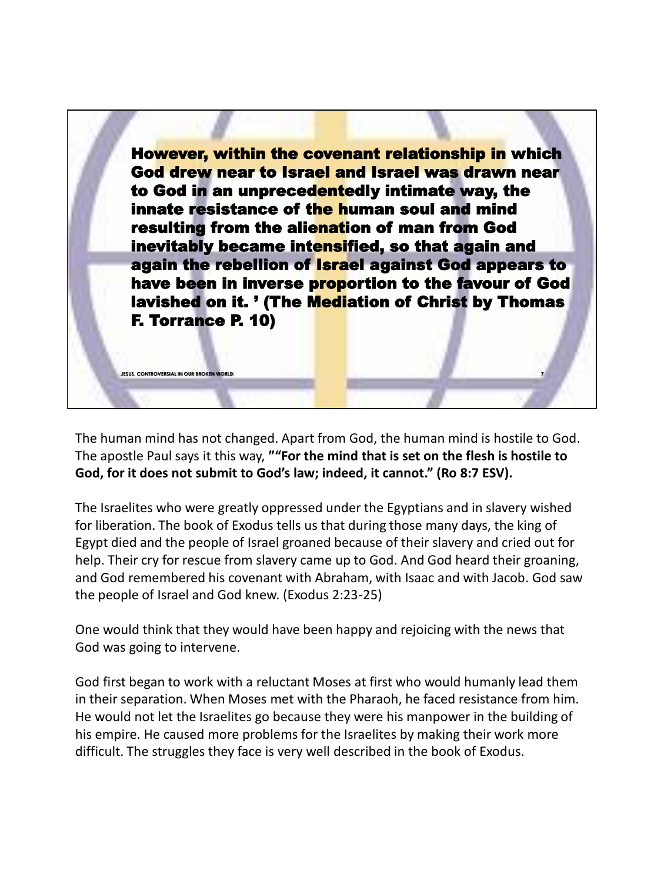However, within the covenant relationship in which God drew near to Israel and Israel was drawn near to God in an unprecedentedly intimate way, the innate resistance of the human soul and mind resulting from the alienation of man from God inevitably became intensified, so that again and again the rebellion of Israel against God appears to have been in inverse proportion to the favour of God lavished on it. ' (The Mediation of Christ by Thomas F. Torrance P. 10)

**7**

The human mind has not changed. Apart from God, the human mind is hostile to God. The apostle Paul says it this way, **""For the mind that is set on the flesh is hostile to God, for it does not submit to God's law; indeed, it cannot." (Ro 8:7 ESV).**

**JESUS, CONTROVERSIAL IN OUR BROKEN WORLD**

The Israelites who were greatly oppressed under the Egyptians and in slavery wished for liberation. The book of Exodus tells us that during those many days, the king of Egypt died and the people of Israel groaned because of their slavery and cried out for help. Their cry for rescue from slavery came up to God. And God heard their groaning, and God remembered his covenant with Abraham, with Isaac and with Jacob. God saw the people of Israel and God knew. (Exodus 2:23-25)

One would think that they would have been happy and rejoicing with the news that God was going to intervene.

God first began to work with a reluctant Moses at first who would humanly lead them in their separation. When Moses met with the Pharaoh, he faced resistance from him. He would not let the Israelites go because they were his manpower in the building of his empire. He caused more problems for the Israelites by making their work more difficult. The struggles they face is very well described in the book of Exodus.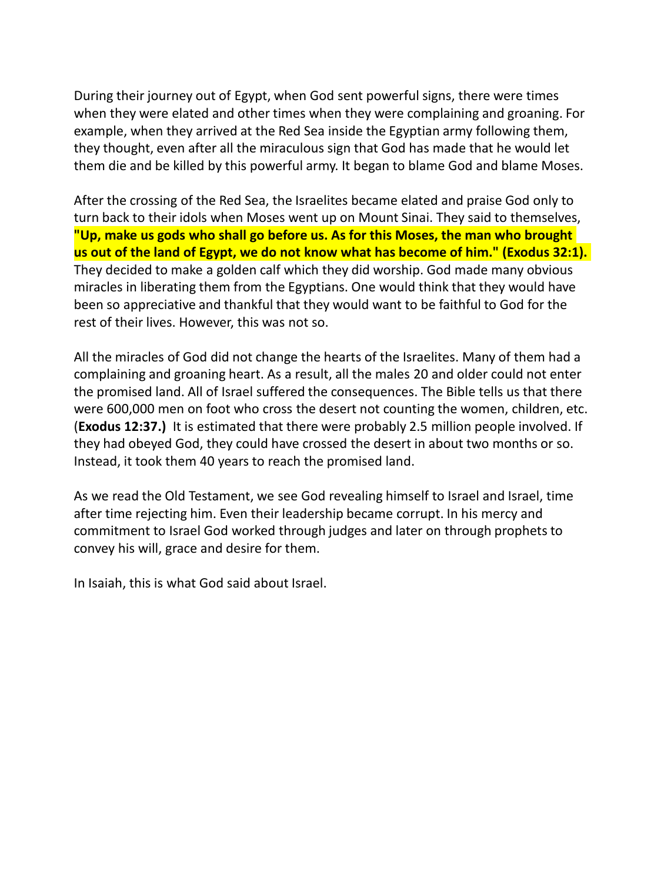During their journey out of Egypt, when God sent powerful signs, there were times when they were elated and other times when they were complaining and groaning. For example, when they arrived at the Red Sea inside the Egyptian army following them, they thought, even after all the miraculous sign that God has made that he would let them die and be killed by this powerful army. It began to blame God and blame Moses.

After the crossing of the Red Sea, the Israelites became elated and praise God only to turn back to their idols when Moses went up on Mount Sinai. They said to themselves, **"Up, make us gods who shall go before us. As for this Moses, the man who brought us out of the land of Egypt, we do not know what has become of him." (Exodus 32:1).** They decided to make a golden calf which they did worship. God made many obvious miracles in liberating them from the Egyptians. One would think that they would have been so appreciative and thankful that they would want to be faithful to God for the rest of their lives. However, this was not so.

All the miracles of God did not change the hearts of the Israelites. Many of them had a complaining and groaning heart. As a result, all the males 20 and older could not enter the promised land. All of Israel suffered the consequences. The Bible tells us that there were 600,000 men on foot who cross the desert not counting the women, children, etc. (**Exodus 12:37.)** It is estimated that there were probably 2.5 million people involved. If they had obeyed God, they could have crossed the desert in about two months or so. Instead, it took them 40 years to reach the promised land.

As we read the Old Testament, we see God revealing himself to Israel and Israel, time after time rejecting him. Even their leadership became corrupt. In his mercy and commitment to Israel God worked through judges and later on through prophets to convey his will, grace and desire for them.

In Isaiah, this is what God said about Israel.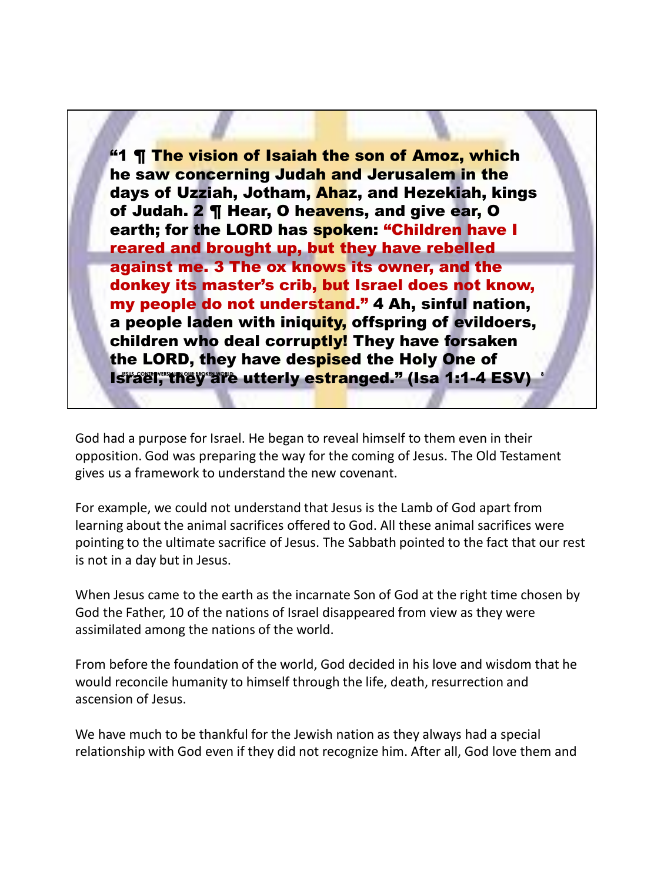**Israel, they are utterly estranged." (Isa 1:1-4 ESV)** "1 ¶ The vision of Isaiah the son of Amoz, which he saw concerning Judah and Jerusalem in the days of Uzziah, Jotham, Ahaz, and Hezekiah, kings of Judah. 2 | Hear, O heavens, and give ear, O earth; for the LORD has spoken: "Children have I reared and brought up, but they have rebelled against me. 3 The ox knows its owner, and the donkey its master's crib, but Israel does not know, my people do not understand." 4 Ah, sinful nation, a people laden with iniquity, offspring of evildoers, children who deal corruptly! They have forsaken the LORD, they have despised the Holy One of

God had a purpose for Israel. He began to reveal himself to them even in their opposition. God was preparing the way for the coming of Jesus. The Old Testament gives us a framework to understand the new covenant.

For example, we could not understand that Jesus is the Lamb of God apart from learning about the animal sacrifices offered to God. All these animal sacrifices were pointing to the ultimate sacrifice of Jesus. The Sabbath pointed to the fact that our rest is not in a day but in Jesus.

When Jesus came to the earth as the incarnate Son of God at the right time chosen by God the Father, 10 of the nations of Israel disappeared from view as they were assimilated among the nations of the world.

From before the foundation of the world, God decided in his love and wisdom that he would reconcile humanity to himself through the life, death, resurrection and ascension of Jesus.

We have much to be thankful for the Jewish nation as they always had a special relationship with God even if they did not recognize him. After all, God love them and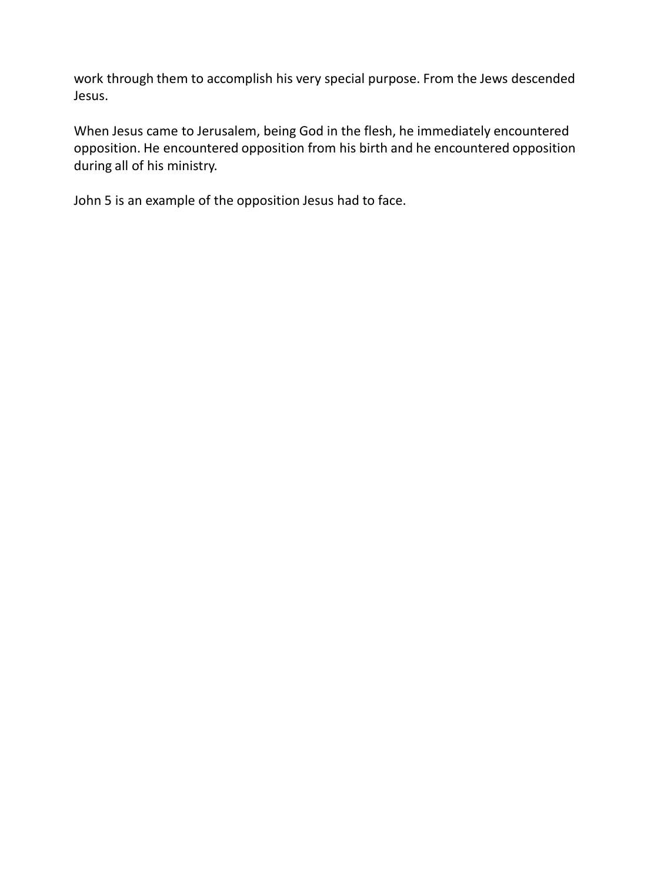work through them to accomplish his very special purpose. From the Jews descended Jesus.

When Jesus came to Jerusalem, being God in the flesh, he immediately encountered opposition. He encountered opposition from his birth and he encountered opposition during all of his ministry.

John 5 is an example of the opposition Jesus had to face.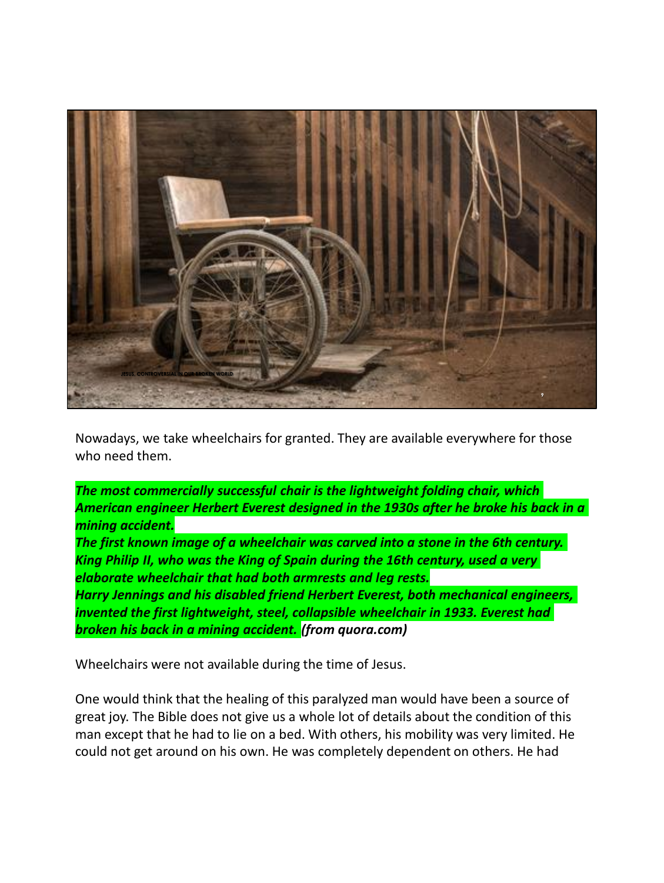

Nowadays, we take wheelchairs for granted. They are available everywhere for those who need them.

*The most commercially successful chair is the lightweight folding chair, which American engineer Herbert Everest designed in the 1930s after he broke his back in a mining accident.*

*The first known image of a wheelchair was carved into a stone in the 6th century. King Philip II, who was the King of Spain during the 16th century, used a very elaborate wheelchair that had both armrests and leg rests.*

*Harry Jennings and his disabled friend Herbert Everest, both mechanical engineers, invented the first lightweight, steel, collapsible wheelchair in 1933. Everest had broken his back in a mining accident. (from quora.com)*

Wheelchairs were not available during the time of Jesus.

One would think that the healing of this paralyzed man would have been a source of great joy. The Bible does not give us a whole lot of details about the condition of this man except that he had to lie on a bed. With others, his mobility was very limited. He could not get around on his own. He was completely dependent on others. He had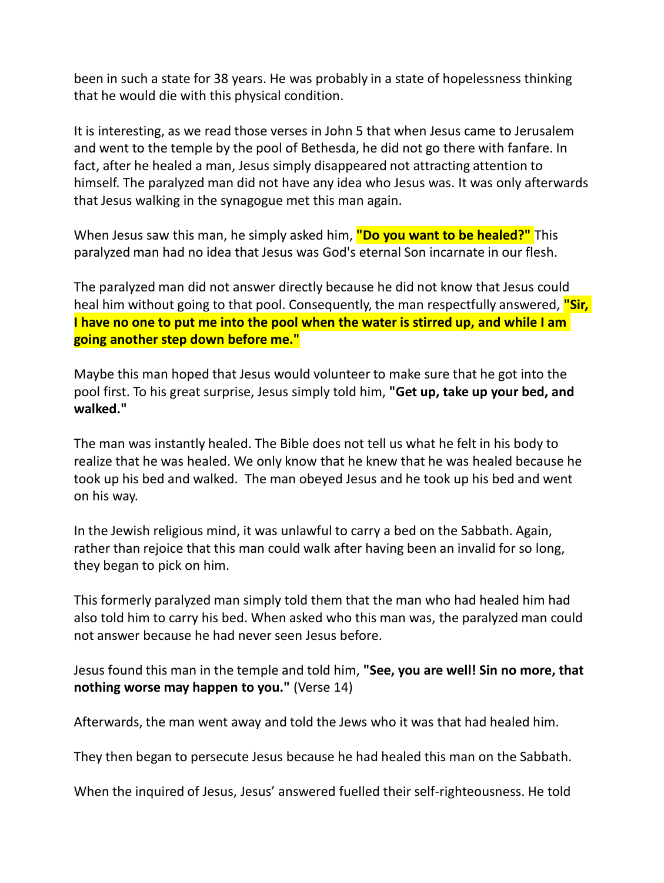been in such a state for 38 years. He was probably in a state of hopelessness thinking that he would die with this physical condition.

It is interesting, as we read those verses in John 5 that when Jesus came to Jerusalem and went to the temple by the pool of Bethesda, he did not go there with fanfare. In fact, after he healed a man, Jesus simply disappeared not attracting attention to himself. The paralyzed man did not have any idea who Jesus was. It was only afterwards that Jesus walking in the synagogue met this man again.

When Jesus saw this man, he simply asked him, **"Do you want to be healed?"** This paralyzed man had no idea that Jesus was God's eternal Son incarnate in our flesh.

The paralyzed man did not answer directly because he did not know that Jesus could heal him without going to that pool. Consequently, the man respectfully answered, **"Sir, I have no one to put me into the pool when the water is stirred up, and while I am going another step down before me."**

Maybe this man hoped that Jesus would volunteer to make sure that he got into the pool first. To his great surprise, Jesus simply told him, **"Get up, take up your bed, and walked."** 

The man was instantly healed. The Bible does not tell us what he felt in his body to realize that he was healed. We only know that he knew that he was healed because he took up his bed and walked. The man obeyed Jesus and he took up his bed and went on his way.

In the Jewish religious mind, it was unlawful to carry a bed on the Sabbath. Again, rather than rejoice that this man could walk after having been an invalid for so long, they began to pick on him.

This formerly paralyzed man simply told them that the man who had healed him had also told him to carry his bed. When asked who this man was, the paralyzed man could not answer because he had never seen Jesus before.

Jesus found this man in the temple and told him, **"See, you are well! Sin no more, that nothing worse may happen to you."** (Verse 14)

Afterwards, the man went away and told the Jews who it was that had healed him.

They then began to persecute Jesus because he had healed this man on the Sabbath.

When the inquired of Jesus, Jesus' answered fuelled their self-righteousness. He told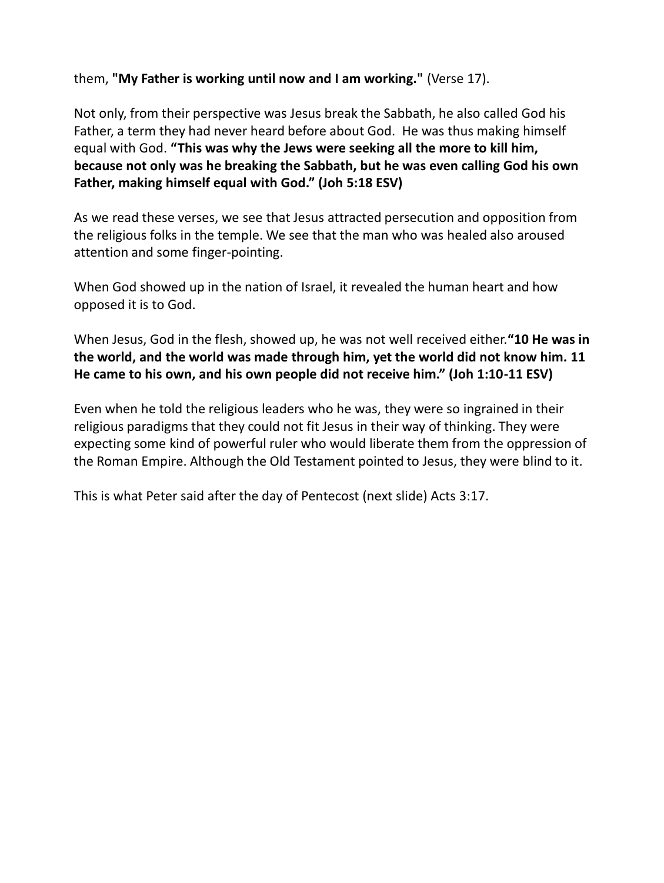them, **"My Father is working until now and I am working."** (Verse 17).

Not only, from their perspective was Jesus break the Sabbath, he also called God his Father, a term they had never heard before about God. He was thus making himself equal with God. **"This was why the Jews were seeking all the more to kill him, because not only was he breaking the Sabbath, but he was even calling God his own Father, making himself equal with God." (Joh 5:18 ESV)**

As we read these verses, we see that Jesus attracted persecution and opposition from the religious folks in the temple. We see that the man who was healed also aroused attention and some finger-pointing.

When God showed up in the nation of Israel, it revealed the human heart and how opposed it is to God.

When Jesus, God in the flesh, showed up, he was not well received either.**"10 He was in the world, and the world was made through him, yet the world did not know him. 11 He came to his own, and his own people did not receive him." (Joh 1:10-11 ESV)**

Even when he told the religious leaders who he was, they were so ingrained in their religious paradigms that they could not fit Jesus in their way of thinking. They were expecting some kind of powerful ruler who would liberate them from the oppression of the Roman Empire. Although the Old Testament pointed to Jesus, they were blind to it.

This is what Peter said after the day of Pentecost (next slide) Acts 3:17.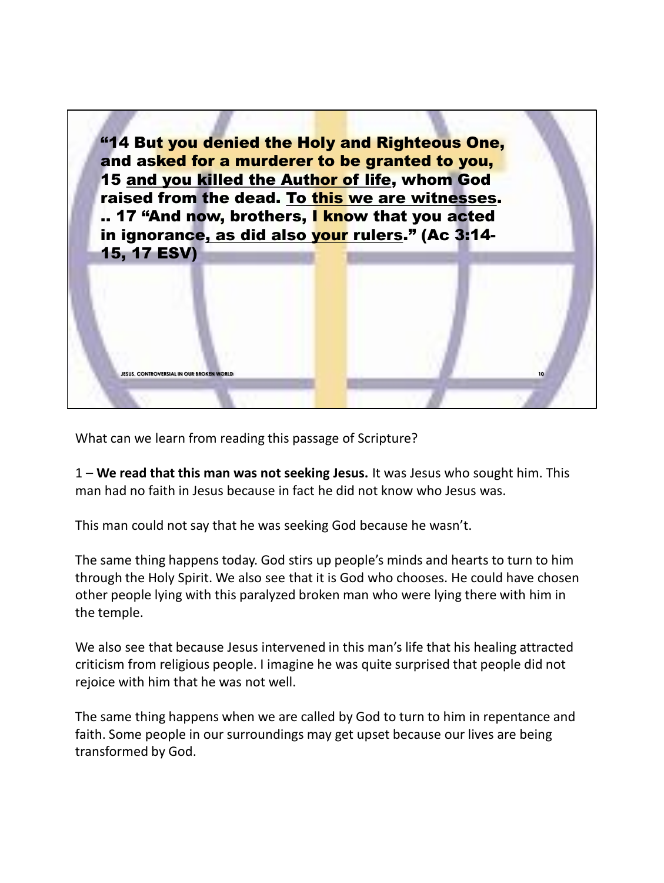

What can we learn from reading this passage of Scripture?

1 – **We read that this man was not seeking Jesus.** It was Jesus who sought him. This man had no faith in Jesus because in fact he did not know who Jesus was.

This man could not say that he was seeking God because he wasn't.

The same thing happens today. God stirs up people's minds and hearts to turn to him through the Holy Spirit. We also see that it is God who chooses. He could have chosen other people lying with this paralyzed broken man who were lying there with him in the temple.

We also see that because Jesus intervened in this man's life that his healing attracted criticism from religious people. I imagine he was quite surprised that people did not rejoice with him that he was not well.

The same thing happens when we are called by God to turn to him in repentance and faith. Some people in our surroundings may get upset because our lives are being transformed by God.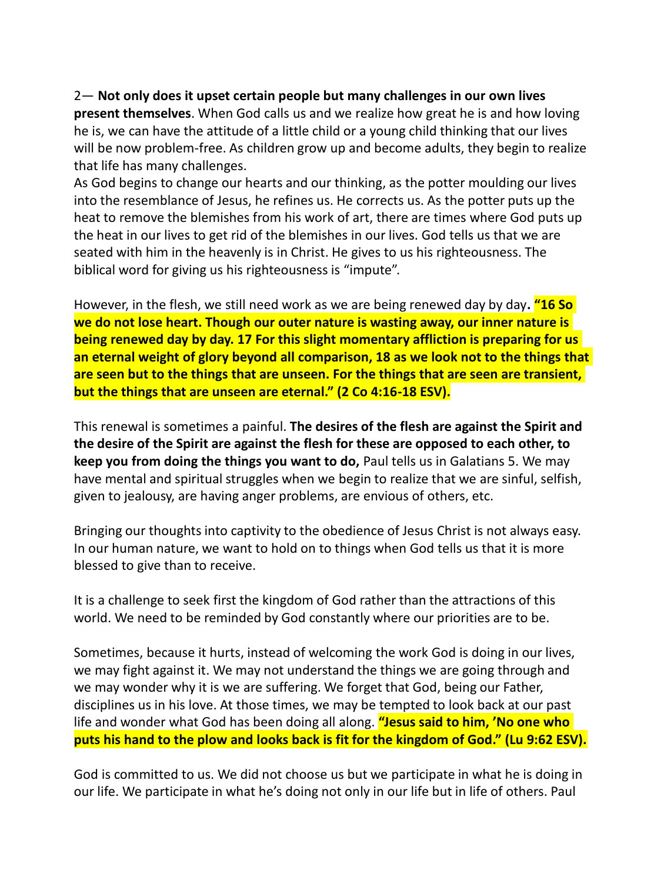2— **Not only does it upset certain people but many challenges in our own lives present themselves**. When God calls us and we realize how great he is and how loving he is, we can have the attitude of a little child or a young child thinking that our lives will be now problem-free. As children grow up and become adults, they begin to realize that life has many challenges.

As God begins to change our hearts and our thinking, as the potter moulding our lives into the resemblance of Jesus, he refines us. He corrects us. As the potter puts up the heat to remove the blemishes from his work of art, there are times where God puts up the heat in our lives to get rid of the blemishes in our lives. God tells us that we are seated with him in the heavenly is in Christ. He gives to us his righteousness. The biblical word for giving us his righteousness is "impute".

However, in the flesh, we still need work as we are being renewed day by day**. "16 So we do not lose heart. Though our outer nature is wasting away, our inner nature is being renewed day by day. 17 For this slight momentary affliction is preparing for us an eternal weight of glory beyond all comparison, 18 as we look not to the things that are seen but to the things that are unseen. For the things that are seen are transient, but the things that are unseen are eternal." (2 Co 4:16-18 ESV).**

This renewal is sometimes a painful. **The desires of the flesh are against the Spirit and the desire of the Spirit are against the flesh for these are opposed to each other, to keep you from doing the things you want to do,** Paul tells us in Galatians 5. We may have mental and spiritual struggles when we begin to realize that we are sinful, selfish, given to jealousy, are having anger problems, are envious of others, etc.

Bringing our thoughts into captivity to the obedience of Jesus Christ is not always easy. In our human nature, we want to hold on to things when God tells us that it is more blessed to give than to receive.

It is a challenge to seek first the kingdom of God rather than the attractions of this world. We need to be reminded by God constantly where our priorities are to be.

Sometimes, because it hurts, instead of welcoming the work God is doing in our lives, we may fight against it. We may not understand the things we are going through and we may wonder why it is we are suffering. We forget that God, being our Father, disciplines us in his love. At those times, we may be tempted to look back at our past life and wonder what God has been doing all along. **"Jesus said to him, 'No one who puts his hand to the plow and looks back is fit for the kingdom of God." (Lu 9:62 ESV).**

God is committed to us. We did not choose us but we participate in what he is doing in our life. We participate in what he's doing not only in our life but in life of others. Paul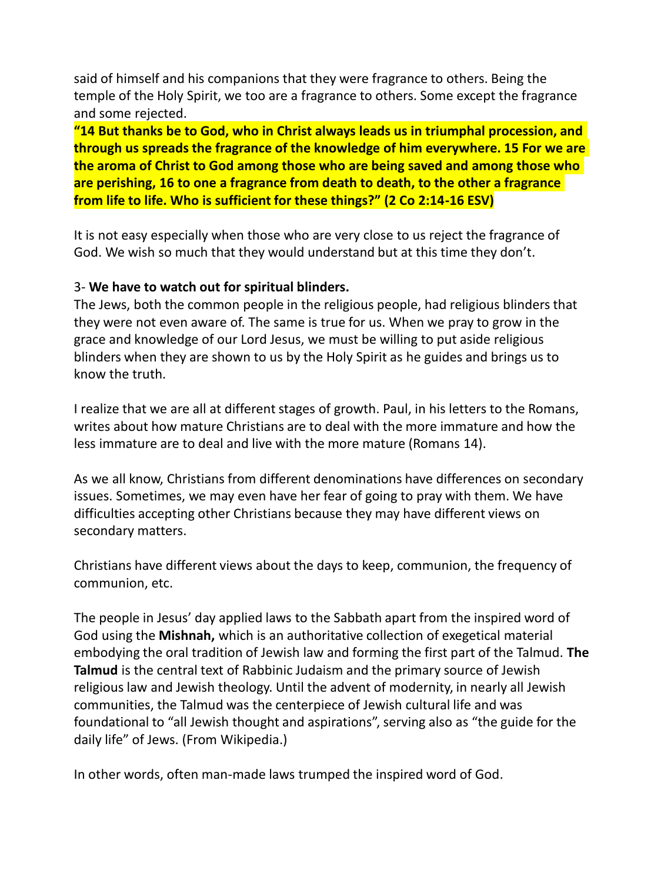said of himself and his companions that they were fragrance to others. Being the temple of the Holy Spirit, we too are a fragrance to others. Some except the fragrance and some rejected.

**"14 But thanks be to God, who in Christ always leads us in triumphal procession, and through us spreads the fragrance of the knowledge of him everywhere. 15 For we are the aroma of Christ to God among those who are being saved and among those who are perishing, 16 to one a fragrance from death to death, to the other a fragrance from life to life. Who is sufficient for these things?" (2 Co 2:14-16 ESV)**

It is not easy especially when those who are very close to us reject the fragrance of God. We wish so much that they would understand but at this time they don't.

## 3- **We have to watch out for spiritual blinders.**

The Jews, both the common people in the religious people, had religious blinders that they were not even aware of. The same is true for us. When we pray to grow in the grace and knowledge of our Lord Jesus, we must be willing to put aside religious blinders when they are shown to us by the Holy Spirit as he guides and brings us to know the truth.

I realize that we are all at different stages of growth. Paul, in his letters to the Romans, writes about how mature Christians are to deal with the more immature and how the less immature are to deal and live with the more mature (Romans 14).

As we all know, Christians from different denominations have differences on secondary issues. Sometimes, we may even have her fear of going to pray with them. We have difficulties accepting other Christians because they may have different views on secondary matters.

Christians have different views about the days to keep, communion, the frequency of communion, etc.

The people in Jesus' day applied laws to the Sabbath apart from the inspired word of God using the **Mishnah,** which is an authoritative collection of exegetical material embodying the oral tradition of Jewish law and forming the first part of the Talmud. **The Talmud** is the central text of Rabbinic Judaism and the primary source of Jewish religious law and Jewish theology. Until the advent of modernity, in nearly all Jewish communities, the Talmud was the centerpiece of Jewish cultural life and was foundational to "all Jewish thought and aspirations", serving also as "the guide for the daily life" of Jews. (From Wikipedia.)

In other words, often man-made laws trumped the inspired word of God.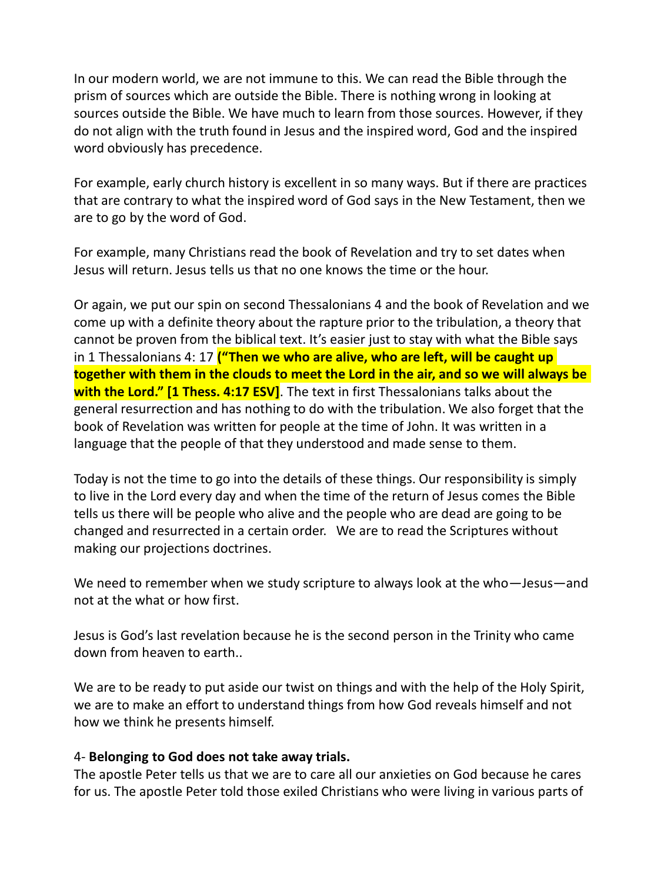In our modern world, we are not immune to this. We can read the Bible through the prism of sources which are outside the Bible. There is nothing wrong in looking at sources outside the Bible. We have much to learn from those sources. However, if they do not align with the truth found in Jesus and the inspired word, God and the inspired word obviously has precedence.

For example, early church history is excellent in so many ways. But if there are practices that are contrary to what the inspired word of God says in the New Testament, then we are to go by the word of God.

For example, many Christians read the book of Revelation and try to set dates when Jesus will return. Jesus tells us that no one knows the time or the hour.

Or again, we put our spin on second Thessalonians 4 and the book of Revelation and we come up with a definite theory about the rapture prior to the tribulation, a theory that cannot be proven from the biblical text. It's easier just to stay with what the Bible says in 1 Thessalonians 4: 17 **("Then we who are alive, who are left, will be caught up together with them in the clouds to meet the Lord in the air, and so we will always be with the Lord." [1 Thess. 4:17 ESV]**. The text in first Thessalonians talks about the general resurrection and has nothing to do with the tribulation. We also forget that the book of Revelation was written for people at the time of John. It was written in a language that the people of that they understood and made sense to them.

Today is not the time to go into the details of these things. Our responsibility is simply to live in the Lord every day and when the time of the return of Jesus comes the Bible tells us there will be people who alive and the people who are dead are going to be changed and resurrected in a certain order. We are to read the Scriptures without making our projections doctrines.

We need to remember when we study scripture to always look at the who—Jesus—and not at the what or how first.

Jesus is God's last revelation because he is the second person in the Trinity who came down from heaven to earth..

We are to be ready to put aside our twist on things and with the help of the Holy Spirit, we are to make an effort to understand things from how God reveals himself and not how we think he presents himself.

## 4- **Belonging to God does not take away trials.**

The apostle Peter tells us that we are to care all our anxieties on God because he cares for us. The apostle Peter told those exiled Christians who were living in various parts of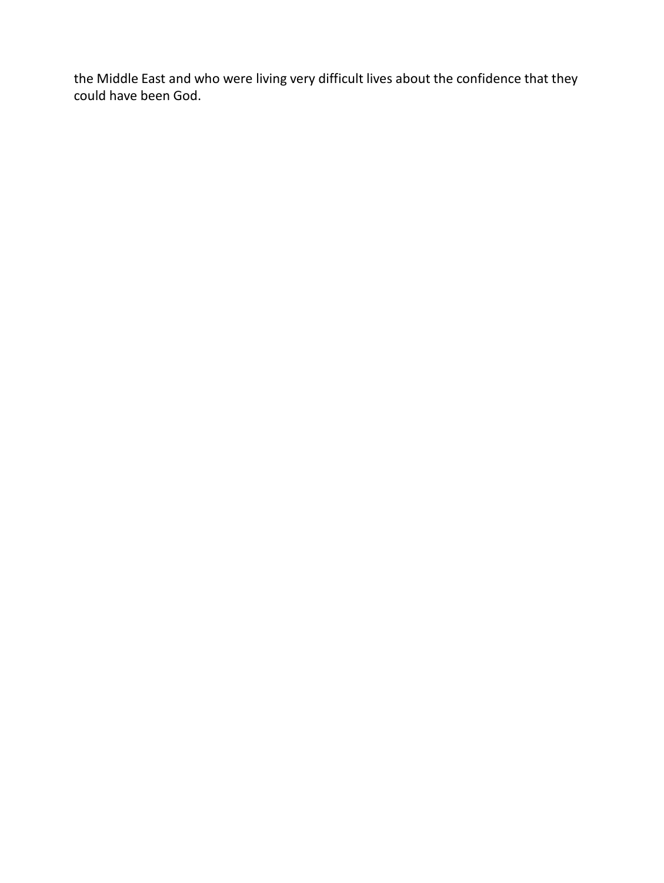the Middle East and who were living very difficult lives about the confidence that they could have been God.